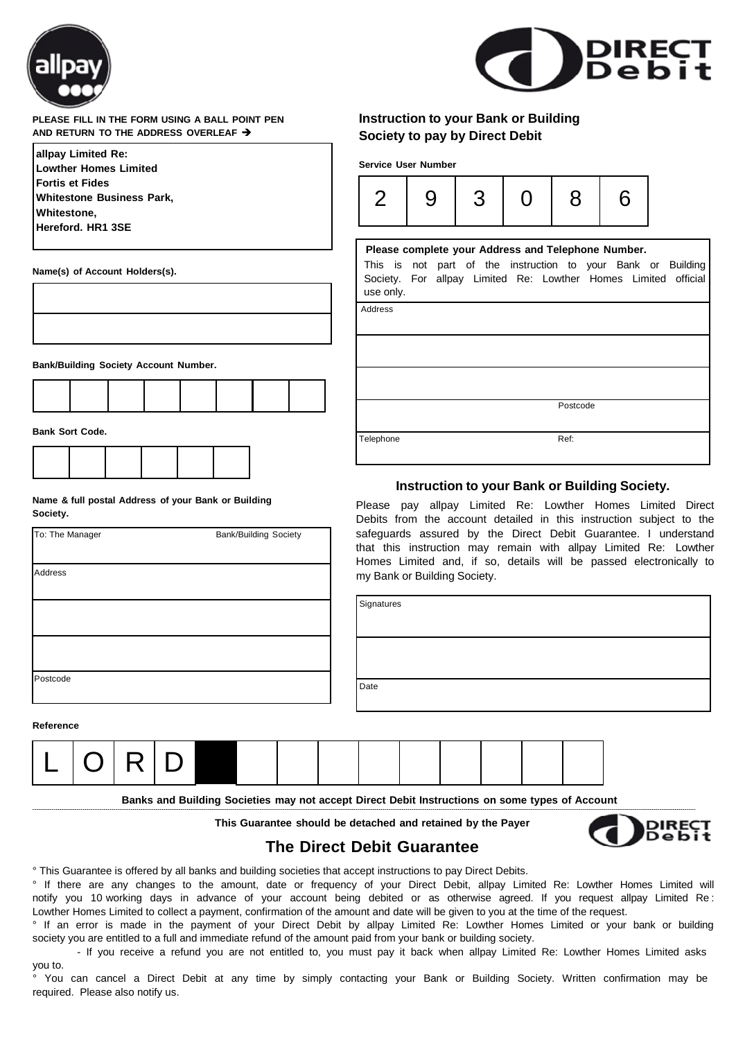



## **PLEASE FILL IN THE FORM USING A BALL POINT PEN AND RETURN TO THE ADDRESS OVERLEAF**

| allpay Limited Re:               |
|----------------------------------|
| Lowther Homes Limited            |
| <b>Fortis et Fides</b>           |
| <b>Whitestone Business Park,</b> |
| Whitestone,                      |
| Hereford. HR1 3SE                |
|                                  |

**Name(s) of Account Holders(s).**

| $\overline{\phantom{0}}$ |  |  |  |  |
|--------------------------|--|--|--|--|

**Bank/Building Society Account Number.**



**Bank Sort Code.**

**Name & full postal Address of your Bank or Building Society.**

| To: The Manager | <b>Bank/Building Society</b> |
|-----------------|------------------------------|
| Address         |                              |
|                 |                              |
|                 |                              |
| Postcode        |                              |

**Service User Number** 2 | 9 | 3 | 0 | 8 | 6 **Please complete your Address and Telephone Number.**

**Instruction to your Bank or Building**

**Society to pay by Direct Debit**

This is not part of the instruction to your Bank or Building Society. For allpay Limited Re: Lowther Homes Limited official use only.

Address

Postcode

Telephone Ref:

## **Instruction to your Bank or Building Society.**

Please pay allpay Limited Re: Lowther Homes Limited Direct Debits from the account detailed in this instruction subject to the safeguards assured by the Direct Debit Guarantee. I understand that this instruction may remain with allpay Limited Re: Lowther Homes Limited and, if so, details will be passed electronically to my Bank or Building Society.

| Signatures |  |
|------------|--|
|            |  |
|            |  |
|            |  |
|            |  |
| Date       |  |
|            |  |

**Reference**



**Banks and Building Societies may not accept Direct Debit Instructions on some types of Account**

**This Guarantee should be detached and retained by the Payer**



## **The Direct Debit Guarantee**

° This Guarantee is offered by all banks and building societies that accept instructions to pay Direct Debits.

° If there are any changes to the amount, date or frequency of your Direct Debit, allpay Limited Re: Lowther Homes Limited will notify you 10 working days in advance of your account being debited or as otherwise agreed. If you request allpay Limited Re : Lowther Homes Limited to collect a payment, confirmation of the amount and date will be given to you at the time of the request.

° If an error is made in the payment of your Direct Debit by allpay Limited Re: Lowther Homes Limited or your bank or building society you are entitled to a full and immediate refund of the amount paid from your bank or building society.

- If you receive a refund you are not entitled to, you must pay it back when allpay Limited Re: Lowther Homes Limited asks you to.

° You can cancel a Direct Debit at any time by simply contacting your Bank or Building Society. Written confirmation may be required. Please also notify us.